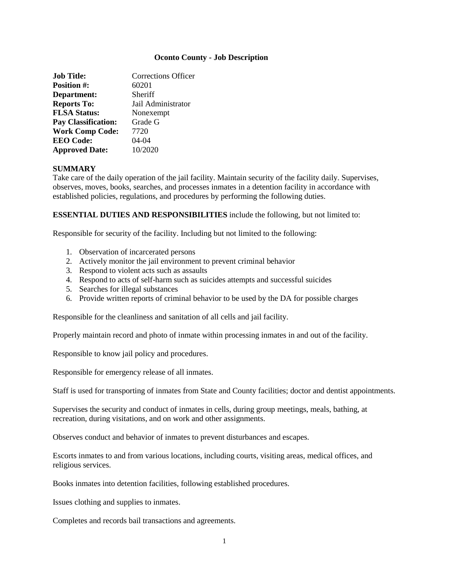### **Oconto County - Job Description**

| <b>Job Title:</b>          | Corrections Officer |
|----------------------------|---------------------|
| <b>Position #:</b>         | 60201               |
| Department:                | Sheriff             |
| <b>Reports To:</b>         | Jail Administrator  |
| <b>FLSA Status:</b>        | Nonexempt           |
| <b>Pay Classification:</b> | Grade G             |
| <b>Work Comp Code:</b>     | 7720                |
| <b>EEO</b> Code:           | $04 - 04$           |
| <b>Approved Date:</b>      | 10/2020             |

# **SUMMARY**

Take care of the daily operation of the jail facility. Maintain security of the facility daily. Supervises, observes, moves, books, searches, and processes inmates in a detention facility in accordance with established policies, regulations, and procedures by performing the following duties.

# **ESSENTIAL DUTIES AND RESPONSIBILITIES** include the following, but not limited to:

Responsible for security of the facility. Including but not limited to the following:

- 1. Observation of incarcerated persons
- 2. Actively monitor the jail environment to prevent criminal behavior
- 3. Respond to violent acts such as assaults
- 4. Respond to acts of self-harm such as suicides attempts and successful suicides
- 5. Searches for illegal substances
- 6. Provide written reports of criminal behavior to be used by the DA for possible charges

Responsible for the cleanliness and sanitation of all cells and jail facility.

Properly maintain record and photo of inmate within processing inmates in and out of the facility.

Responsible to know jail policy and procedures.

Responsible for emergency release of all inmates.

Staff is used for transporting of inmates from State and County facilities; doctor and dentist appointments.

Supervises the security and conduct of inmates in cells, during group meetings, meals, bathing, at recreation, during visitations, and on work and other assignments.

Observes conduct and behavior of inmates to prevent disturbances and escapes.

Escorts inmates to and from various locations, including courts, visiting areas, medical offices, and religious services.

Books inmates into detention facilities, following established procedures.

Issues clothing and supplies to inmates.

Completes and records bail transactions and agreements.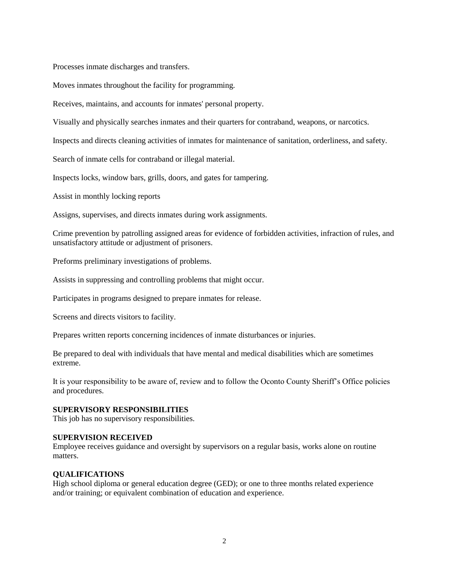Processes inmate discharges and transfers.

Moves inmates throughout the facility for programming.

Receives, maintains, and accounts for inmates' personal property.

Visually and physically searches inmates and their quarters for contraband, weapons, or narcotics.

Inspects and directs cleaning activities of inmates for maintenance of sanitation, orderliness, and safety.

Search of inmate cells for contraband or illegal material.

Inspects locks, window bars, grills, doors, and gates for tampering.

Assist in monthly locking reports

Assigns, supervises, and directs inmates during work assignments.

Crime prevention by patrolling assigned areas for evidence of forbidden activities, infraction of rules, and unsatisfactory attitude or adjustment of prisoners.

Preforms preliminary investigations of problems.

Assists in suppressing and controlling problems that might occur.

Participates in programs designed to prepare inmates for release.

Screens and directs visitors to facility.

Prepares written reports concerning incidences of inmate disturbances or injuries.

Be prepared to deal with individuals that have mental and medical disabilities which are sometimes extreme.

It is your responsibility to be aware of, review and to follow the Oconto County Sheriff's Office policies and procedures.

# **SUPERVISORY RESPONSIBILITIES**

This job has no supervisory responsibilities.

### **SUPERVISION RECEIVED**

Employee receives guidance and oversight by supervisors on a regular basis, works alone on routine matters.

### **QUALIFICATIONS**

High school diploma or general education degree (GED); or one to three months related experience and/or training; or equivalent combination of education and experience.